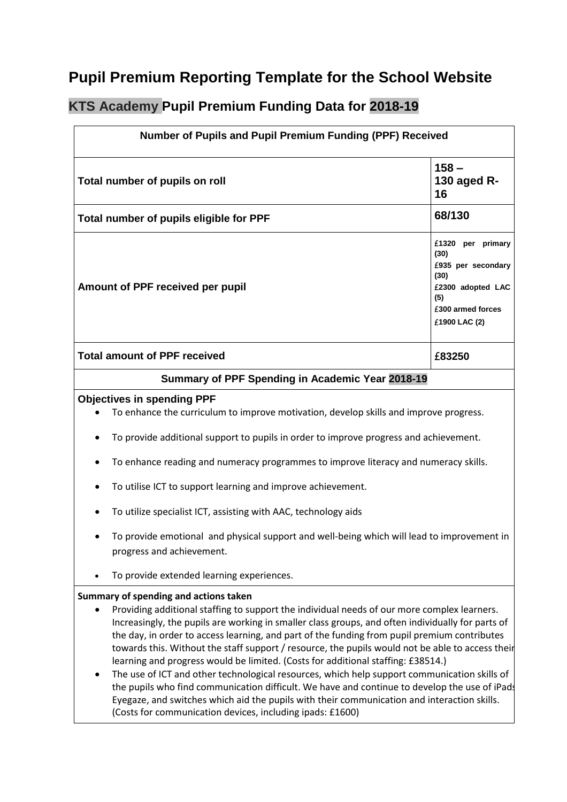## **Pupil Premium Reporting Template for the School Website**

## **KTS Academy Pupil Premium Funding Data for 2018-19**

| Number of Pupils and Pupil Premium Funding (PPF) Received                                        |                                                                                                                                                                                                                                                                                                                                                                                                                                                                                                                                                                                                                                                                                                                                                                                                                                                       |                                                                                                                           |  |
|--------------------------------------------------------------------------------------------------|-------------------------------------------------------------------------------------------------------------------------------------------------------------------------------------------------------------------------------------------------------------------------------------------------------------------------------------------------------------------------------------------------------------------------------------------------------------------------------------------------------------------------------------------------------------------------------------------------------------------------------------------------------------------------------------------------------------------------------------------------------------------------------------------------------------------------------------------------------|---------------------------------------------------------------------------------------------------------------------------|--|
| Total number of pupils on roll                                                                   |                                                                                                                                                                                                                                                                                                                                                                                                                                                                                                                                                                                                                                                                                                                                                                                                                                                       | $158 -$<br>130 aged R-<br>16                                                                                              |  |
| Total number of pupils eligible for PPF                                                          |                                                                                                                                                                                                                                                                                                                                                                                                                                                                                                                                                                                                                                                                                                                                                                                                                                                       | 68/130                                                                                                                    |  |
|                                                                                                  | Amount of PPF received per pupil                                                                                                                                                                                                                                                                                                                                                                                                                                                                                                                                                                                                                                                                                                                                                                                                                      | £1320 per primary<br>(30)<br>£935 per secondary<br>(30)<br>£2300 adopted LAC<br>(5)<br>£300 armed forces<br>£1900 LAC (2) |  |
|                                                                                                  | <b>Total amount of PPF received</b>                                                                                                                                                                                                                                                                                                                                                                                                                                                                                                                                                                                                                                                                                                                                                                                                                   | £83250                                                                                                                    |  |
| Summary of PPF Spending in Academic Year 2018-19                                                 |                                                                                                                                                                                                                                                                                                                                                                                                                                                                                                                                                                                                                                                                                                                                                                                                                                                       |                                                                                                                           |  |
| <b>Objectives in spending PPF</b>                                                                |                                                                                                                                                                                                                                                                                                                                                                                                                                                                                                                                                                                                                                                                                                                                                                                                                                                       |                                                                                                                           |  |
|                                                                                                  | To enhance the curriculum to improve motivation, develop skills and improve progress.                                                                                                                                                                                                                                                                                                                                                                                                                                                                                                                                                                                                                                                                                                                                                                 |                                                                                                                           |  |
|                                                                                                  | To provide additional support to pupils in order to improve progress and achievement.                                                                                                                                                                                                                                                                                                                                                                                                                                                                                                                                                                                                                                                                                                                                                                 |                                                                                                                           |  |
| To enhance reading and numeracy programmes to improve literacy and numeracy skills.<br>$\bullet$ |                                                                                                                                                                                                                                                                                                                                                                                                                                                                                                                                                                                                                                                                                                                                                                                                                                                       |                                                                                                                           |  |
| ٠                                                                                                | To utilise ICT to support learning and improve achievement.                                                                                                                                                                                                                                                                                                                                                                                                                                                                                                                                                                                                                                                                                                                                                                                           |                                                                                                                           |  |
|                                                                                                  | To utilize specialist ICT, assisting with AAC, technology aids                                                                                                                                                                                                                                                                                                                                                                                                                                                                                                                                                                                                                                                                                                                                                                                        |                                                                                                                           |  |
|                                                                                                  | To provide emotional and physical support and well-being which will lead to improvement in<br>progress and achievement.                                                                                                                                                                                                                                                                                                                                                                                                                                                                                                                                                                                                                                                                                                                               |                                                                                                                           |  |
|                                                                                                  | To provide extended learning experiences.                                                                                                                                                                                                                                                                                                                                                                                                                                                                                                                                                                                                                                                                                                                                                                                                             |                                                                                                                           |  |
|                                                                                                  | Summary of spending and actions taken                                                                                                                                                                                                                                                                                                                                                                                                                                                                                                                                                                                                                                                                                                                                                                                                                 |                                                                                                                           |  |
|                                                                                                  | Providing additional staffing to support the individual needs of our more complex learners.<br>Increasingly, the pupils are working in smaller class groups, and often individually for parts of<br>the day, in order to access learning, and part of the funding from pupil premium contributes<br>towards this. Without the staff support / resource, the pupils would not be able to access their<br>learning and progress would be limited. (Costs for additional staffing: £38514.)<br>The use of ICT and other technological resources, which help support communication skills of<br>the pupils who find communication difficult. We have and continue to develop the use of iPads<br>Eyegaze, and switches which aid the pupils with their communication and interaction skills.<br>(Costs for communication devices, including ipads: £1600) |                                                                                                                           |  |